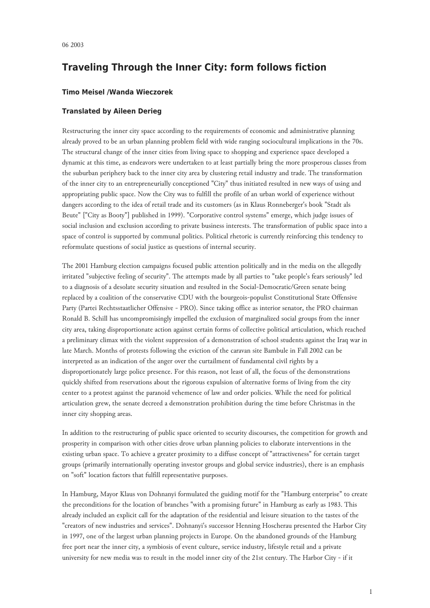## **Traveling Through the Inner City: form follows fiction**

## **Timo Meisel /Wanda Wieczorek**

## **Translated by Aileen Derieg**

Restructuring the inner city space according to the requirements of economic and administrative planning already proved to be an urban planning problem field with wide ranging sociocultural implications in the 70s. The structural change of the inner cities from living space to shopping and experience space developed a dynamic at this time, as endeavors were undertaken to at least partially bring the more prosperous classes from the suburban periphery back to the inner city area by clustering retail industry and trade. The transformation of the inner city to an entrepreneurially conceptioned "City" thus initiated resulted in new ways of using and appropriating public space. Now the City was to fulfill the profile of an urban world of experience without dangers according to the idea of retail trade and its customers (as in Klaus Ronneberger's book "Stadt als Beute" ["City as Booty"] published in 1999). "Corporative control systems" emerge, which judge issues of social inclusion and exclusion according to private business interests. The transformation of public space into a space of control is supported by communal politics. Political rhetoric is currently reinforcing this tendency to reformulate questions of social justice as questions of internal security.

The 2001 Hamburg election campaigns focused public attention politically and in the media on the allegedly irritated "subjective feeling of security". The attempts made by all parties to "take people's fears seriously" led to a diagnosis of a desolate security situation and resulted in the Social-Democratic/Green senate being replaced by a coalition of the conservative CDU with the bourgeois-populist Constitutional State Offensive Party (Partei Rechtsstaatlicher Offensive - PRO). Since taking office as interior senator, the PRO chairman Ronald B. Schill has uncompromisingly impelled the exclusion of marginalized social groups from the inner city area, taking disproportionate action against certain forms of collective political articulation, which reached a preliminary climax with the violent suppression of a demonstration of school students against the Iraq war in late March. Months of protests following the eviction of the caravan site Bambule in Fall 2002 can be interpreted as an indication of the anger over the curtailment of fundamental civil rights by a disproportionately large police presence. For this reason, not least of all, the focus of the demonstrations quickly shifted from reservations about the rigorous expulsion of alternative forms of living from the city center to a protest against the paranoid vehemence of law and order policies. While the need for political articulation grew, the senate decreed a demonstration prohibition during the time before Christmas in the inner city shopping areas.

In addition to the restructuring of public space oriented to security discourses, the competition for growth and prosperity in comparison with other cities drove urban planning policies to elaborate interventions in the existing urban space. To achieve a greater proximity to a diffuse concept of "attractiveness" for certain target groups (primarily internationally operating investor groups and global service industries), there is an emphasis on "soft" location factors that fulfill representative purposes.

In Hamburg, Mayor Klaus von Dohnanyi formulated the guiding motif for the "Hamburg enterprise" to create the preconditions for the location of branches "with a promising future" in Hamburg as early as 1983. This already included an explicit call for the adaptation of the residential and leisure situation to the tastes of the "creators of new industries and services". Dohnanyi's successor Henning Hoscherau presented the Harbor City in 1997, one of the largest urban planning projects in Europe. On the abandoned grounds of the Hamburg free port near the inner city, a symbiosis of event culture, service industry, lifestyle retail and a private university for new media was to result in the model inner city of the 21st century. The Harbor City - if it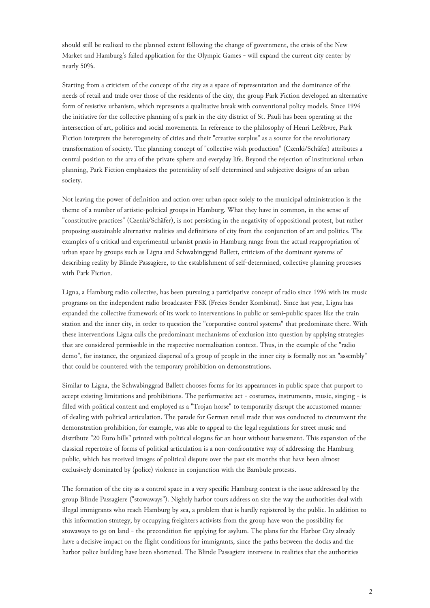should still be realized to the planned extent following the change of government, the crisis of the New Market and Hamburg's failed application for the Olympic Games - will expand the current city center by nearly 50%.

Starting from a criticism of the concept of the city as a space of representation and the dominance of the needs of retail and trade over those of the residents of the city, the group Park Fiction developed an alternative form of resistive urbanism, which represents a qualitative break with conventional policy models. Since 1994 the initiative for the collective planning of a park in the city district of St. Pauli has been operating at the intersection of art, politics and social movements. In reference to the philosophy of Henri Lefèbvre, Park Fiction interprets the heterogeneity of cities and their "creative surplus" as a source for the revolutionary transformation of society. The planning concept of "collective wish production" (Czenki/Schäfer) attributes a central position to the area of the private sphere and everyday life. Beyond the rejection of institutional urban planning, Park Fiction emphasizes the potentiality of self-determined and subjective designs of an urban society.

Not leaving the power of definition and action over urban space solely to the municipal administration is the theme of a number of artistic-political groups in Hamburg. What they have in common, in the sense of "constitutive practices" (Czenki/Schäfer), is not persisting in the negativity of oppositional protest, but rather proposing sustainable alternative realities and definitions of city from the conjunction of art and politics. The examples of a critical and experimental urbanist praxis in Hamburg range from the actual reappropriation of urban space by groups such as Ligna and Schwabinggrad Ballett, criticism of the dominant systems of describing reality by Blinde Passagiere, to the establishment of self-determined, collective planning processes with Park Fiction.

Ligna, a Hamburg radio collective, has been pursuing a participative concept of radio since 1996 with its music programs on the independent radio broadcaster FSK (Freies Sender Kombinat). Since last year, Ligna has expanded the collective framework of its work to interventions in public or semi-public spaces like the train station and the inner city, in order to question the "corporative control systems" that predominate there. With these interventions Ligna calls the predominant mechanisms of exclusion into question by applying strategies that are considered permissible in the respective normalization context. Thus, in the example of the "radio demo", for instance, the organized dispersal of a group of people in the inner city is formally not an "assembly" that could be countered with the temporary prohibition on demonstrations.

Similar to Ligna, the Schwabinggrad Ballett chooses forms for its appearances in public space that purport to accept existing limitations and prohibitions. The performative act - costumes, instruments, music, singing - is filled with political content and employed as a "Trojan horse" to temporarily disrupt the accustomed manner of dealing with political articulation. The parade for German retail trade that was conducted to circumvent the demonstration prohibition, for example, was able to appeal to the legal regulations for street music and distribute "20 Euro bills" printed with political slogans for an hour without harassment. This expansion of the classical repertoire of forms of political articulation is a non-confrontative way of addressing the Hamburg public, which has received images of political dispute over the past six months that have been almost exclusively dominated by (police) violence in conjunction with the Bambule protests.

The formation of the city as a control space in a very specific Hamburg context is the issue addressed by the group Blinde Passagiere ("stowaways"). Nightly harbor tours address on site the way the authorities deal with illegal immigrants who reach Hamburg by sea, a problem that is hardly registered by the public. In addition to this information strategy, by occupying freighters activists from the group have won the possibility for stowaways to go on land - the precondition for applying for asylum. The plans for the Harbor City already have a decisive impact on the flight conditions for immigrants, since the paths between the docks and the harbor police building have been shortened. The Blinde Passagiere intervene in realities that the authorities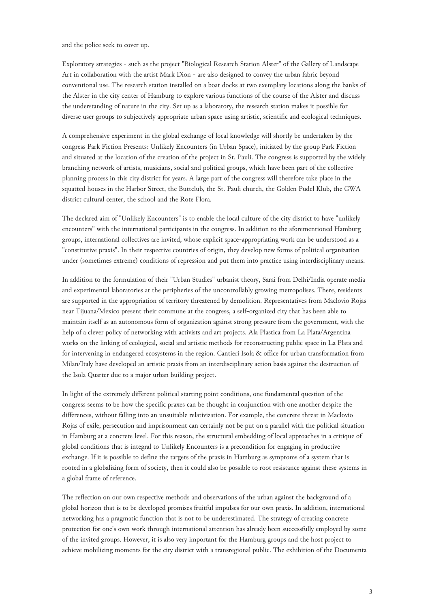and the police seek to cover up.

Exploratory strategies - such as the project "Biological Research Station Alster" of the Gallery of Landscape Art in collaboration with the artist Mark Dion - are also designed to convey the urban fabric beyond conventional use. The research station installed on a boat docks at two exemplary locations along the banks of the Alster in the city center of Hamburg to explore various functions of the course of the Alster and discuss the understanding of nature in the city. Set up as a laboratory, the research station makes it possible for diverse user groups to subjectively appropriate urban space using artistic, scientific and ecological techniques.

A comprehensive experiment in the global exchange of local knowledge will shortly be undertaken by the congress Park Fiction Presents: Unlikely Encounters (in Urban Space), initiated by the group Park Fiction and situated at the location of the creation of the project in St. Pauli. The congress is supported by the widely branching network of artists, musicians, social and political groups, which have been part of the collective planning process in this city district for years. A large part of the congress will therefore take place in the squatted houses in the Harbor Street, the Buttclub, the St. Pauli church, the Golden Pudel Klub, the GWA district cultural center, the school and the Rote Flora.

The declared aim of "Unlikely Encounters" is to enable the local culture of the city district to have "unlikely encounters" with the international participants in the congress. In addition to the aforementioned Hamburg groups, international collectives are invited, whose explicit space-appropriating work can be understood as a "constitutive praxis". In their respective countries of origin, they develop new forms of political organization under (sometimes extreme) conditions of repression and put them into practice using interdisciplinary means.

In addition to the formulation of their "Urban Studies" urbanist theory, Sarai from Delhi/India operate media and experimental laboratories at the peripheries of the uncontrollably growing metropolises. There, residents are supported in the appropriation of territory threatened by demolition. Representatives from Maclovio Rojas near Tijuana/Mexico present their commune at the congress, a self-organized city that has been able to maintain itself as an autonomous form of organization against strong pressure from the government, with the help of a clever policy of networking with activists and art projects. Ala Plastica from La Plata/Argentina works on the linking of ecological, social and artistic methods for reconstructing public space in La Plata and for intervening in endangered ecosystems in the region. Cantieri Isola & office for urban transformation from Milan/Italy have developed an artistic praxis from an interdisciplinary action basis against the destruction of the Isola Quarter due to a major urban building project.

In light of the extremely different political starting point conditions, one fundamental question of the congress seems to be how the specific praxes can be thought in conjunction with one another despite the differences, without falling into an unsuitable relativization. For example, the concrete threat in Maclovio Rojas of exile, persecution and imprisonment can certainly not be put on a parallel with the political situation in Hamburg at a concrete level. For this reason, the structural embedding of local approaches in a critique of global conditions that is integral to Unlikely Encounters is a precondition for engaging in productive exchange. If it is possible to define the targets of the praxis in Hamburg as symptoms of a system that is rooted in a globalizing form of society, then it could also be possible to root resistance against these systems in a global frame of reference.

The reflection on our own respective methods and observations of the urban against the background of a global horizon that is to be developed promises fruitful impulses for our own praxis. In addition, international networking has a pragmatic function that is not to be underestimated. The strategy of creating concrete protection for one's own work through international attention has already been successfully employed by some of the invited groups. However, it is also very important for the Hamburg groups and the host project to achieve mobilizing moments for the city district with a transregional public. The exhibition of the Documenta